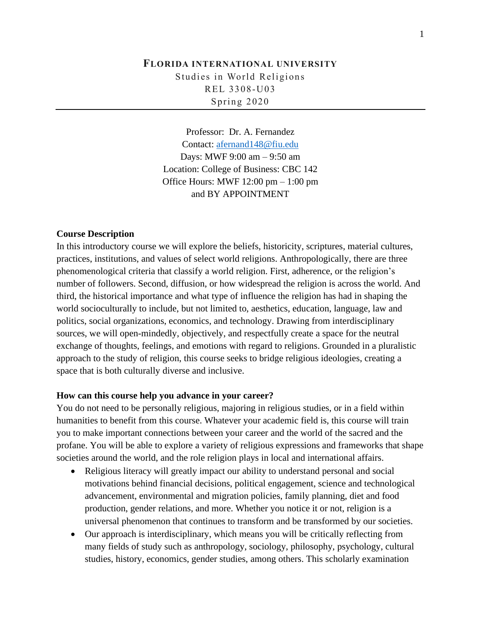# **FLORIDA INTERNATIONAL UNIVERSITY**  Studies in World Religions REL 3308-U03 Spring 2020

Professor: Dr. A. Fernandez Contact: [afernand148@fiu.edu](mailto:afernand148@fiu.edu) Days: MWF 9:00 am – 9:50 am Location: College of Business: CBC 142 Office Hours: MWF 12:00 pm – 1:00 pm and BY APPOINTMENT

#### **Course Description**

In this introductory course we will explore the beliefs, historicity, scriptures, material cultures, practices, institutions, and values of select world religions. Anthropologically, there are three phenomenological criteria that classify a world religion. First, adherence, or the religion's number of followers. Second, diffusion, or how widespread the religion is across the world. And third, the historical importance and what type of influence the religion has had in shaping the world socioculturally to include, but not limited to, aesthetics, education, language, law and politics, social organizations, economics, and technology. Drawing from interdisciplinary sources, we will open-mindedly, objectively, and respectfully create a space for the neutral exchange of thoughts, feelings, and emotions with regard to religions. Grounded in a pluralistic approach to the study of religion, this course seeks to bridge religious ideologies, creating a space that is both culturally diverse and inclusive.

#### **How can this course help you advance in your career?**

You do not need to be personally religious, majoring in religious studies, or in a field within humanities to benefit from this course. Whatever your academic field is, this course will train you to make important connections between your career and the world of the sacred and the profane. You will be able to explore a variety of religious expressions and frameworks that shape societies around the world, and the role religion plays in local and international affairs.

- Religious literacy will greatly impact our ability to understand personal and social motivations behind financial decisions, political engagement, science and technological advancement, environmental and migration policies, family planning, diet and food production, gender relations, and more. Whether you notice it or not, religion is a universal phenomenon that continues to transform and be transformed by our societies.
- Our approach is interdisciplinary, which means you will be critically reflecting from many fields of study such as anthropology, sociology, philosophy, psychology, cultural studies, history, economics, gender studies, among others. This scholarly examination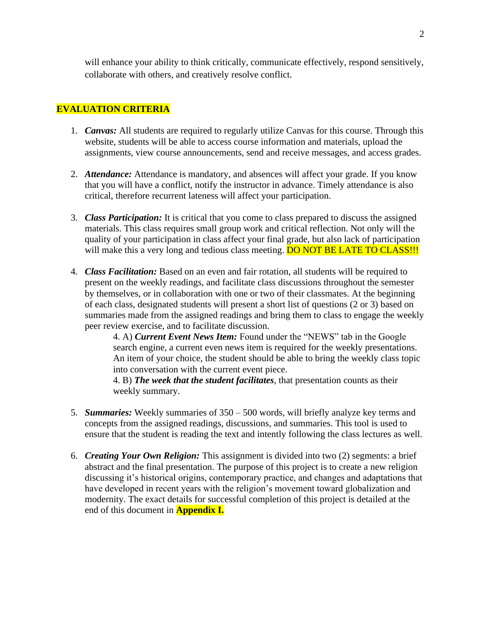will enhance your ability to think critically, communicate effectively, respond sensitively, collaborate with others, and creatively resolve conflict.

### **EVALUATION CRITERIA**

- 1. *Canvas:* All students are required to regularly utilize Canvas for this course. Through this website, students will be able to access course information and materials, upload the assignments, view course announcements, send and receive messages, and access grades.
- 2. *Attendance:* Attendance is mandatory, and absences will affect your grade. If you know that you will have a conflict, notify the instructor in advance. Timely attendance is also critical, therefore recurrent lateness will affect your participation.
- 3. *Class Participation:* It is critical that you come to class prepared to discuss the assigned materials. This class requires small group work and critical reflection. Not only will the quality of your participation in class affect your final grade, but also lack of participation will make this a very long and tedious class meeting. DO NOT BE LATE TO CLASS!!!
- 4. *Class Facilitation:* Based on an even and fair rotation, all students will be required to present on the weekly readings, and facilitate class discussions throughout the semester by themselves, or in collaboration with one or two of their classmates. At the beginning of each class, designated students will present a short list of questions (2 or 3) based on summaries made from the assigned readings and bring them to class to engage the weekly peer review exercise, and to facilitate discussion.

4. A) *Current Event News Item:* Found under the "NEWS" tab in the Google search engine, a current even news item is required for the weekly presentations. An item of your choice, the student should be able to bring the weekly class topic into conversation with the current event piece.

4. B) *The week that the student facilitates*, that presentation counts as their weekly summary.

- 5. *Summaries:* Weekly summaries of 350 500 words, will briefly analyze key terms and concepts from the assigned readings, discussions, and summaries. This tool is used to ensure that the student is reading the text and intently following the class lectures as well.
- 6. *Creating Your Own Religion:* This assignment is divided into two (2) segments: a brief abstract and the final presentation. The purpose of this project is to create a new religion discussing it's historical origins, contemporary practice, and changes and adaptations that have developed in recent years with the religion's movement toward globalization and modernity. The exact details for successful completion of this project is detailed at the end of this document in **Appendix I.**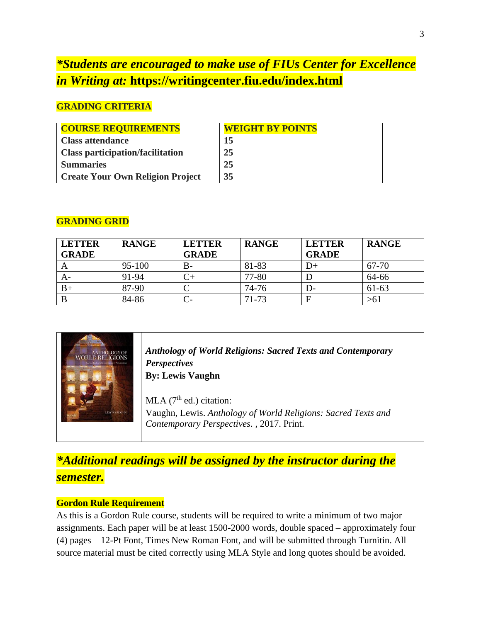# *\*Students are encouraged to make use of FIUs Center for Excellence in Writing at:* **https://writingcenter.fiu.edu/index.html**

# **GRADING CRITERIA**

| <b>COURSE REQUIREMENTS</b>              | <b>WEIGHT BY POINTS</b> |
|-----------------------------------------|-------------------------|
| <b>Class attendance</b>                 | 15                      |
| <b>Class participation/facilitation</b> | 25                      |
| <b>Summaries</b>                        | 25                      |
| <b>Create Your Own Religion Project</b> | 35                      |

# **GRADING GRID**

| <b>LETTER</b> | <b>RANGE</b> | <b>LETTER</b> | <b>RANGE</b> | <b>LETTER</b> | <b>RANGE</b> |
|---------------|--------------|---------------|--------------|---------------|--------------|
| <b>GRADE</b>  |              | <b>GRADE</b>  |              | <b>GRADE</b>  |              |
|               | 95-100       | $B-$          | 81-83        | D+            | 67-70        |
| A-            | 91-94        | $\sim$        | 77-80        |               | 64-66        |
| B+            | 87-90        |               | 74-76        | I)-           | $61-63$      |
|               | 84-86        |               | 71-73        |               | $>61$        |

| <b>LEWIS VALIGHN</b> | <b>Anthology of World Religions: Sacred Texts and Contemporary</b><br><b>Perspectives</b><br><b>By: Lewis Vaughn</b><br>MLA $(7th$ ed.) citation:<br>Vaughn, Lewis. Anthology of World Religions: Sacred Texts and<br>Contemporary Perspectives., 2017. Print. |
|----------------------|----------------------------------------------------------------------------------------------------------------------------------------------------------------------------------------------------------------------------------------------------------------|
|----------------------|----------------------------------------------------------------------------------------------------------------------------------------------------------------------------------------------------------------------------------------------------------------|

# *\*Additional readings will be assigned by the instructor during the semester.*

## **Gordon Rule Requirement**

As this is a Gordon Rule course, students will be required to write a minimum of two major assignments. Each paper will be at least 1500-2000 words, double spaced – approximately four (4) pages – 12-Pt Font, Times New Roman Font, and will be submitted through Turnitin. All source material must be cited correctly using MLA Style and long quotes should be avoided.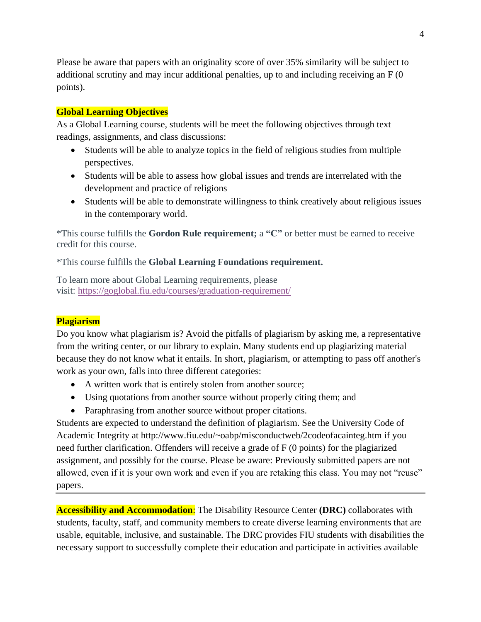Please be aware that papers with an originality score of over 35% similarity will be subject to additional scrutiny and may incur additional penalties, up to and including receiving an F (0 points).

## **Global Learning Objectives**

As a Global Learning course, students will be meet the following objectives through text readings, assignments, and class discussions:

- Students will be able to analyze topics in the field of religious studies from multiple perspectives.
- Students will be able to assess how global issues and trends are interrelated with the development and practice of religions
- Students will be able to demonstrate willingness to think creatively about religious issues in the contemporary world.

\*This course fulfills the **Gordon Rule requirement;** a **"C"** or better must be earned to receive credit for this course.

\*This course fulfills the **Global Learning Foundations requirement.**

To learn more about Global Learning requirements, please visit: <https://goglobal.fiu.edu/courses/graduation-requirement/>

## **Plagiarism**

Do you know what plagiarism is? Avoid the pitfalls of plagiarism by asking me, a representative from the writing center, or our library to explain. Many students end up plagiarizing material because they do not know what it entails. In short, plagiarism, or attempting to pass off another's work as your own, falls into three different categories:

- A written work that is entirely stolen from another source;
- Using quotations from another source without properly citing them; and
- Paraphrasing from another source without proper citations.

Students are expected to understand the definition of plagiarism. See the University Code of Academic Integrity at http://www.fiu.edu/~oabp/misconductweb/2codeofacainteg.htm if you need further clarification. Offenders will receive a grade of F (0 points) for the plagiarized assignment, and possibly for the course. Please be aware: Previously submitted papers are not allowed, even if it is your own work and even if you are retaking this class. You may not "reuse" papers.

**Accessibility and Accommodation**: The Disability Resource Center **(DRC)** collaborates with students, faculty, staff, and community members to create diverse learning environments that are usable, equitable, inclusive, and sustainable. The DRC provides FIU students with disabilities the necessary support to successfully complete their education and participate in activities available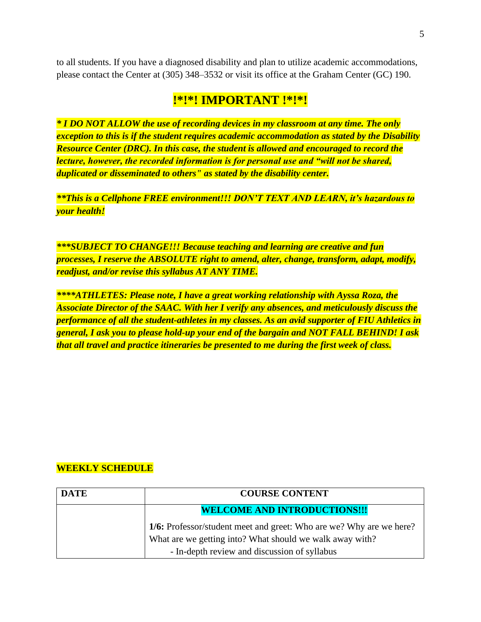to all students. If you have a diagnosed disability and plan to utilize academic accommodations, please contact the Center at (305) 348–3532 or visit its office at the Graham Center (GC) 190.

# **!\*!\*! IMPORTANT !\*!\*!**

*\* I DO NOT ALLOW the use of recording devices in my classroom at any time. The only exception to this is if the student requires academic accommodation as stated by the Disability Resource Center (DRC). In this case, the student is allowed and encouraged to record the lecture, however, the recorded information is for personal use and "will not be shared, duplicated or disseminated to others" as stated by the disability center.*

*\*\*This is a Cellphone FREE environment!!! DON'T TEXT AND LEARN, it's hazardous to your health!*

*\*\*\*SUBJECT TO CHANGE!!! Because teaching and learning are creative and fun processes, I reserve the ABSOLUTE right to amend, alter, change, transform, adapt, modify, readjust, and/or revise this syllabus AT ANY TIME.*

*\*\*\*\*ATHLETES: Please note, I have a great working relationship with Ayssa Roza, the Associate Director of the SAAC. With her I verify any absences, and meticulously discuss the performance of all the student-athletes in my classes. As an avid supporter of FIU Athletics in general, I ask you to please hold-up your end of the bargain and NOT FALL BEHIND! I ask that all travel and practice itineraries be presented to me during the first week of class.* 

# **WEEKLY SCHEDULE**

| <b>DATE</b> | <b>COURSE CONTENT</b>                                               |
|-------------|---------------------------------------------------------------------|
|             | <b>WELCOME AND INTRODUCTIONS!!!</b>                                 |
|             | 1/6: Professor/student meet and greet: Who are we? Why are we here? |
|             | What are we getting into? What should we walk away with?            |
|             | - In-depth review and discussion of syllabus                        |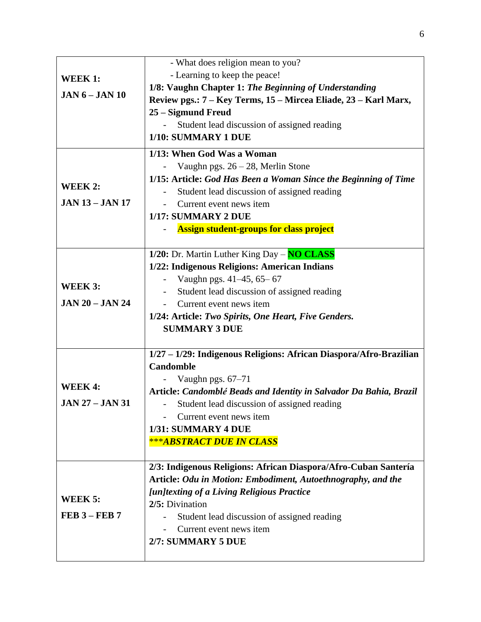| WEEK 1:<br>$JAN 6 - JAN 10$             | - What does religion mean to you?<br>- Learning to keep the peace!<br>1/8: Vaughn Chapter 1: The Beginning of Understanding<br>Review pgs.: 7 – Key Terms, 15 – Mircea Eliade, 23 – Karl Marx,<br>25 – Sigmund Freud<br>Student lead discussion of assigned reading<br>1/10: SUMMARY 1 DUE                     |
|-----------------------------------------|----------------------------------------------------------------------------------------------------------------------------------------------------------------------------------------------------------------------------------------------------------------------------------------------------------------|
| WEEK 2:<br><b>JAN 13 – JAN 17</b>       | 1/13: When God Was a Woman<br>Vaughn pgs. $26 - 28$ , Merlin Stone<br>1/15: Article: God Has Been a Woman Since the Beginning of Time<br>Student lead discussion of assigned reading<br>Current event news item<br>1/17: SUMMARY 2 DUE<br><b>Assign student-groups for class project</b>                       |
| WEEK 3:<br><b>JAN 20 - JAN 24</b>       | 1/20: Dr. Martin Luther King Day - NO CLASS<br>1/22: Indigenous Religions: American Indians<br>Vaughn pgs. 41–45, 65–67<br>Student lead discussion of assigned reading<br>$\overline{\phantom{a}}$<br>Current event news item<br>1/24: Article: Two Spirits, One Heart, Five Genders.<br><b>SUMMARY 3 DUE</b>  |
| <b>WEEK4:</b><br><b>JAN 27 – JAN 31</b> | 1/27 - 1/29: Indigenous Religions: African Diaspora/Afro-Brazilian<br><b>Candomble</b><br>Vaughn pgs. 67-71<br>Article: Candomblé Beads and Identity in Salvador Da Bahia, Brazil<br>Student lead discussion of assigned reading<br>Current event news item<br>1/31: SUMMARY 4 DUE<br>***ABSTRACT DUE IN CLASS |
| WEEK 5:<br>$FEB$ 3 – $FEB$ 7            | 2/3: Indigenous Religions: African Diaspora/Afro-Cuban Santería<br>Article: Odu in Motion: Embodiment, Autoethnography, and the<br>[un]texting of a Living Religious Practice<br>2/5: Divination<br>Student lead discussion of assigned reading<br>Current event news item<br>2/7: SUMMARY 5 DUE               |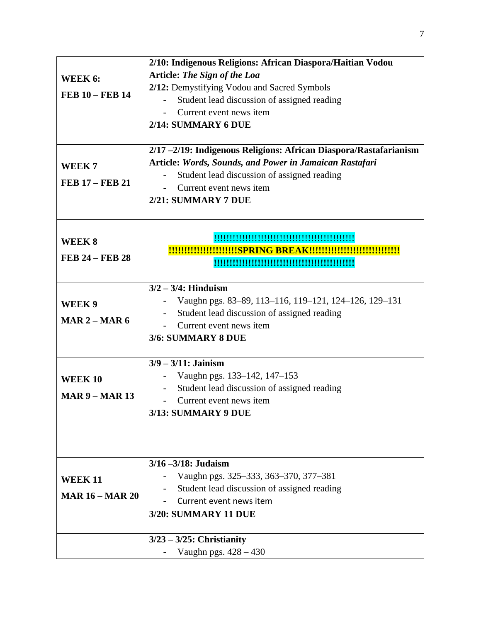|                        | 2/10: Indigenous Religions: African Diaspora/Haitian Vodou       |
|------------------------|------------------------------------------------------------------|
| WEEK 6:                | <b>Article: The Sign of the Loa</b>                              |
|                        | 2/12: Demystifying Vodou and Sacred Symbols                      |
| <b>FEB 10 - FEB 14</b> | Student lead discussion of assigned reading                      |
|                        | Current event news item                                          |
|                        | 2/14: SUMMARY 6 DUE                                              |
|                        |                                                                  |
|                        | 2/17-2/19: Indigenous Religions: African Diaspora/Rastafarianism |
| WEEK <sub>7</sub>      | Article: Words, Sounds, and Power in Jamaican Rastafari          |
|                        | Student lead discussion of assigned reading                      |
| <b>FEB 17 - FEB 21</b> | Current event news item                                          |
|                        | 2/21: SUMMARY 7 DUE                                              |
|                        |                                                                  |
|                        |                                                                  |
| WEEK 8                 |                                                                  |
| <b>FEB 24 - FEB 28</b> |                                                                  |
|                        |                                                                  |
|                        | $3/2 - 3/4$ : Hinduism                                           |
| WEEK 9                 | Vaughn pgs. 83–89, 113–116, 119–121, 124–126, 129–131            |
|                        | Student lead discussion of assigned reading                      |
| MAR $2 - MAR$ 6        | Current event news item                                          |
|                        | 3/6: SUMMARY 8 DUE                                               |
|                        |                                                                  |
|                        | $3/9 - 3/11$ : Jainism                                           |
| <b>WEEK10</b>          | Vaughn pgs. 133-142, 147-153                                     |
| $MAR 9 - MAR 13$       | Student lead discussion of assigned reading                      |
|                        | Current event news item                                          |
|                        | 3/13: SUMMARY 9 DUE                                              |
|                        |                                                                  |
|                        |                                                                  |
|                        | $3/16 - 3/18$ : Judaism                                          |
| <b>WEEK 11</b>         | Vaughn pgs. 325–333, 363–370, 377–381                            |
| <b>MAR 16 - MAR 20</b> | Student lead discussion of assigned reading                      |
|                        | Current event news item                                          |
|                        | <b>3/20: SUMMARY 11 DUE</b>                                      |
|                        | $3/23 - 3/25$ : Christianity                                     |
|                        | Vaughn pgs. 428 - 430                                            |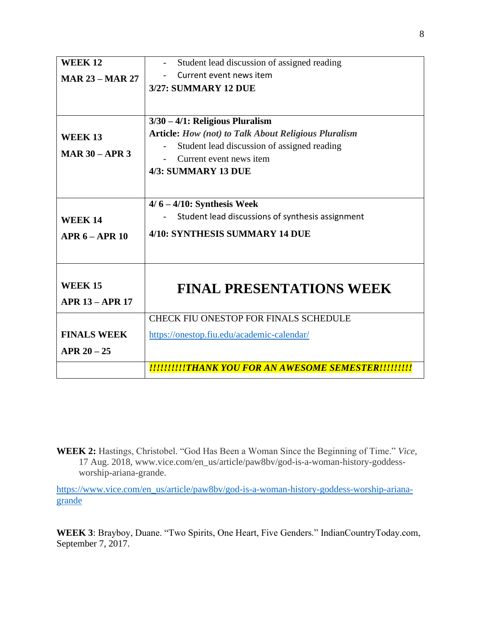| <b>WEEK12</b>          | Student lead discussion of assigned reading                 |
|------------------------|-------------------------------------------------------------|
| <b>MAR 23 – MAR 27</b> | Current event news item                                     |
|                        | <b>3/27: SUMMARY 12 DUE</b>                                 |
|                        |                                                             |
|                        |                                                             |
|                        | $3/30 - 4/1$ : Religious Pluralism                          |
| <b>WEEK 13</b>         | <b>Article:</b> How (not) to Talk About Religious Pluralism |
| MAR $30 - APR$ 3       | Student lead discussion of assigned reading                 |
|                        | Current event news item                                     |
|                        | 4/3: SUMMARY 13 DUE                                         |
|                        |                                                             |
|                        |                                                             |
|                        | $4/6 - 4/10$ : Synthesis Week                               |
| <b>WEEK 14</b>         | Student lead discussions of synthesis assignment            |
| $APR 6 - APR 10$       | 4/10: SYNTHESIS SUMMARY 14 DUE                              |
|                        |                                                             |
|                        |                                                             |
|                        |                                                             |
| <b>WEEK 15</b>         | <b>FINAL PRESENTATIONS WEEK</b>                             |
| <b>APR 13 - APR 17</b> |                                                             |
|                        | <b>CHECK FIU ONESTOP FOR FINALS SCHEDULE</b>                |
| <b>FINALS WEEK</b>     | https://onestop.fiu.edu/academic-calendar/                  |
| $APR 20 - 25$          |                                                             |
|                        |                                                             |
|                        | !!!!!!!!!!!THANK YOU FOR AN AWESOME SEMESTER!!!!!!!!!       |

**WEEK 2:** Hastings, Christobel. "God Has Been a Woman Since the Beginning of Time." *Vice*, 17 Aug. 2018, www.vice.com/en\_us/article/paw8bv/god-is-a-woman-history-goddessworship-ariana-grande.

[https://www.vice.com/en\\_us/article/paw8bv/god-is-a-woman-history-goddess-worship-ariana](https://www.vice.com/en_us/article/paw8bv/god-is-a-woman-history-goddess-worship-ariana-grande)[grande](https://www.vice.com/en_us/article/paw8bv/god-is-a-woman-history-goddess-worship-ariana-grande)

**WEEK 3**: Brayboy, Duane. "Two Spirits, One Heart, Five Genders." IndianCountryToday.com, September 7, 2017.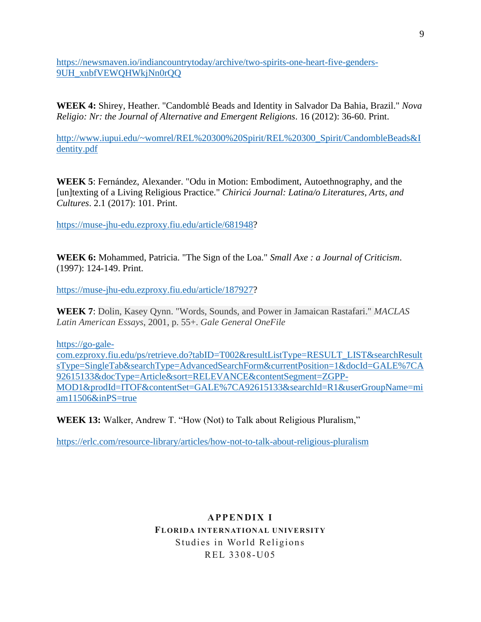https://newsmaven.io/indiancountrytoday/archive/two-spirits-one-heart-five-genders-9UH\_xnbfVEWQHWkjNn0rQQ

**WEEK 4:** Shirey, Heather. "Candomblé Beads and Identity in Salvador Da Bahia, Brazil." *Nova Religio: Nr: the Journal of Alternative and Emergent Religions*. 16 (2012): 36-60. Print.

[http://www.iupui.edu/~womrel/REL%20300%20Spirit/REL%20300\\_Spirit/CandombleBeads&I](http://www.iupui.edu/~womrel/REL%20300%20Spirit/REL%20300_Spirit/CandombleBeads&Identity.pdf) [dentity.pdf](http://www.iupui.edu/~womrel/REL%20300%20Spirit/REL%20300_Spirit/CandombleBeads&Identity.pdf)

**WEEK 5**: Fernández, Alexander. "Odu in Motion: Embodiment, Autoethnography, and the [un]texting of a Living Religious Practice." *Chiricú Journal: Latina/o Literatures, Arts, and Cultures*. 2.1 (2017): 101. Print.

[https://muse-jhu-edu.ezproxy.fiu.edu/article/681948?](https://muse-jhu-edu.ezproxy.fiu.edu/article/681948)

**WEEK 6:** Mohammed, Patricia. "The Sign of the Loa." *Small Axe : a Journal of Criticism*. (1997): 124-149. Print.

[https://muse-jhu-edu.ezproxy.fiu.edu/article/187927?](https://muse-jhu-edu.ezproxy.fiu.edu/article/187927)

**WEEK 7**: Dolin, Kasey Qynn. "Words, Sounds, and Power in Jamaican Rastafari." *MACLAS Latin American Essays*, 2001, p. 55+. *Gale General OneFile*

[https://go-gale-](https://go-gale-com.ezproxy.fiu.edu/ps/retrieve.do?tabID=T002&resultListType=RESULT_LIST&searchResultsType=SingleTab&searchType=AdvancedSearchForm¤tPosition=1&docId=GALE%7CA92615133&docType=Article&sort=RELEVANCE&contentSegment=ZGPP-MOD1&prodId=ITOF&contentSet=GALE%7CA92615133&searchId=R1&userGroupName=miam11506&inPS=true)

[com.ezproxy.fiu.edu/ps/retrieve.do?tabID=T002&resultListType=RESULT\\_LIST&searchResult](https://go-gale-com.ezproxy.fiu.edu/ps/retrieve.do?tabID=T002&resultListType=RESULT_LIST&searchResultsType=SingleTab&searchType=AdvancedSearchForm¤tPosition=1&docId=GALE%7CA92615133&docType=Article&sort=RELEVANCE&contentSegment=ZGPP-MOD1&prodId=ITOF&contentSet=GALE%7CA92615133&searchId=R1&userGroupName=miam11506&inPS=true) [sType=SingleTab&searchType=AdvancedSearchForm&currentPosition=1&docId=GALE%7CA](https://go-gale-com.ezproxy.fiu.edu/ps/retrieve.do?tabID=T002&resultListType=RESULT_LIST&searchResultsType=SingleTab&searchType=AdvancedSearchForm¤tPosition=1&docId=GALE%7CA92615133&docType=Article&sort=RELEVANCE&contentSegment=ZGPP-MOD1&prodId=ITOF&contentSet=GALE%7CA92615133&searchId=R1&userGroupName=miam11506&inPS=true) [92615133&docType=Article&sort=RELEVANCE&contentSegment=ZGPP-](https://go-gale-com.ezproxy.fiu.edu/ps/retrieve.do?tabID=T002&resultListType=RESULT_LIST&searchResultsType=SingleTab&searchType=AdvancedSearchForm¤tPosition=1&docId=GALE%7CA92615133&docType=Article&sort=RELEVANCE&contentSegment=ZGPP-MOD1&prodId=ITOF&contentSet=GALE%7CA92615133&searchId=R1&userGroupName=miam11506&inPS=true)[MOD1&prodId=ITOF&contentSet=GALE%7CA92615133&searchId=R1&userGroupName=mi](https://go-gale-com.ezproxy.fiu.edu/ps/retrieve.do?tabID=T002&resultListType=RESULT_LIST&searchResultsType=SingleTab&searchType=AdvancedSearchForm¤tPosition=1&docId=GALE%7CA92615133&docType=Article&sort=RELEVANCE&contentSegment=ZGPP-MOD1&prodId=ITOF&contentSet=GALE%7CA92615133&searchId=R1&userGroupName=miam11506&inPS=true) [am11506&inPS=true](https://go-gale-com.ezproxy.fiu.edu/ps/retrieve.do?tabID=T002&resultListType=RESULT_LIST&searchResultsType=SingleTab&searchType=AdvancedSearchForm¤tPosition=1&docId=GALE%7CA92615133&docType=Article&sort=RELEVANCE&contentSegment=ZGPP-MOD1&prodId=ITOF&contentSet=GALE%7CA92615133&searchId=R1&userGroupName=miam11506&inPS=true)

**WEEK 13:** Walker, Andrew T. "How (Not) to Talk about Religious Pluralism,"

<https://erlc.com/resource-library/articles/how-not-to-talk-about-religious-pluralism>

# **APPENDIX I FLORIDA INTERNATIONAL UNIVERSITY**  Studies in World Religions REL 3308-U05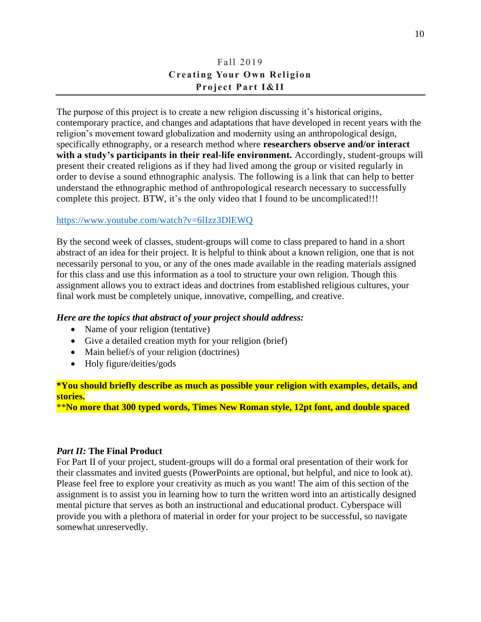# Fall 2019 **Creating Your Own Religion Project Part I&II**

The purpose of this project is to create a new religion discussing it's historical origins, contemporary practice, and changes and adaptations that have developed in recent years with the religion's movement toward globalization and modernity using an anthropological design, specifically ethnography, or a research method where **researchers observe and/or interact with a study's participants in their real-life environment.** Accordingly, student-groups will present their created religions as if they had lived among the group or visited regularly in order to devise a sound ethnographic analysis. The following is a link that can help to better understand the ethnographic method of anthropological research necessary to successfully complete this project. BTW, it's the only video that I found to be uncomplicated!!!

### <https://www.youtube.com/watch?v=6lIzz3DlEWQ>

By the second week of classes, student-groups will come to class prepared to hand in a short abstract of an idea for their project. It is helpful to think about a known religion, one that is not necessarily personal to you, or any of the ones made available in the reading materials assigned for this class and use this information as a tool to structure your own religion. Though this assignment allows you to extract ideas and doctrines from established religious cultures, your final work must be completely unique, innovative, compelling, and creative.

#### *Here are the topics that abstract of your project should address:*

- Name of your religion (tentative)
- Give a detailed creation myth for your religion (brief)
- Main belief/s of your religion (doctrines)
- Holy figure/deities/gods

**\*You should briefly describe as much as possible your religion with examples, details, and stories.** 

\*\***No more that 300 typed words, Times New Roman style, 12pt font, and double spaced**

#### *Part II:* **The Final Product**

For Part II of your project, student-groups will do a formal oral presentation of their work for their classmates and invited guests (PowerPoints are optional, but helpful, and nice to look at). Please feel free to explore your creativity as much as you want! The aim of this section of the assignment is to assist you in learning how to turn the written word into an artistically designed mental picture that serves as both an instructional and educational product. Cyberspace will provide you with a plethora of material in order for your project to be successful, so navigate somewhat unreservedly.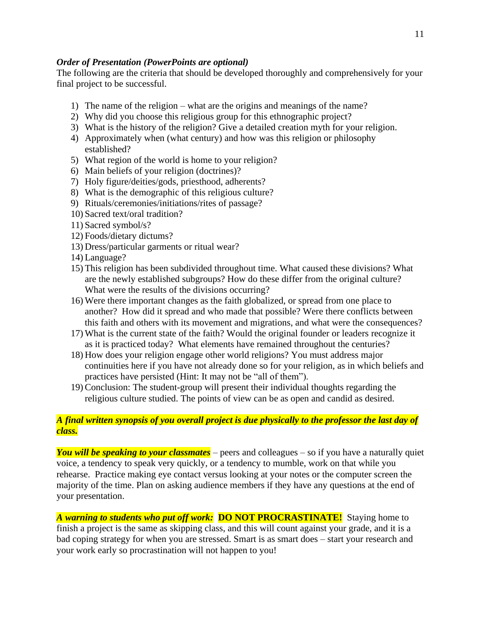### *Order of Presentation (PowerPoints are optional)*

The following are the criteria that should be developed thoroughly and comprehensively for your final project to be successful.

- 1) The name of the religion what are the origins and meanings of the name?
- 2) Why did you choose this religious group for this ethnographic project?
- 3) What is the history of the religion? Give a detailed creation myth for your religion.
- 4) Approximately when (what century) and how was this religion or philosophy established?
- 5) What region of the world is home to your religion?
- 6) Main beliefs of your religion (doctrines)?
- 7) Holy figure/deities/gods, priesthood, adherents?
- 8) What is the demographic of this religious culture?
- 9) Rituals/ceremonies/initiations/rites of passage?
- 10) Sacred text/oral tradition?
- 11) Sacred symbol/s?
- 12) Foods/dietary dictums?
- 13) Dress/particular garments or ritual wear?
- 14) Language?
- 15) This religion has been subdivided throughout time. What caused these divisions? What are the newly established subgroups? How do these differ from the original culture? What were the results of the divisions occurring?
- 16) Were there important changes as the faith globalized, or spread from one place to another? How did it spread and who made that possible? Were there conflicts between this faith and others with its movement and migrations, and what were the consequences?
- 17) What is the current state of the faith? Would the original founder or leaders recognize it as it is practiced today? What elements have remained throughout the centuries?
- 18) How does your religion engage other world religions? You must address major continuities here if you have not already done so for your religion, as in which beliefs and practices have persisted (Hint: It may not be "all of them").
- 19)Conclusion: The student-group will present their individual thoughts regarding the religious culture studied. The points of view can be as open and candid as desired.

## *A final written synopsis of you overall project is due physically to the professor the last day of class.*

*You will be speaking to your classmates* – peers and colleagues – so if you have a naturally quiet voice, a tendency to speak very quickly, or a tendency to mumble, work on that while you rehearse. Practice making eye contact versus looking at your notes or the computer screen the majority of the time. Plan on asking audience members if they have any questions at the end of your presentation.

*A warning to students who put off work:* **DO NOT PROCRASTINATE!** Staying home to finish a project is the same as skipping class, and this will count against your grade, and it is a bad coping strategy for when you are stressed. Smart is as smart does – start your research and your work early so procrastination will not happen to you!